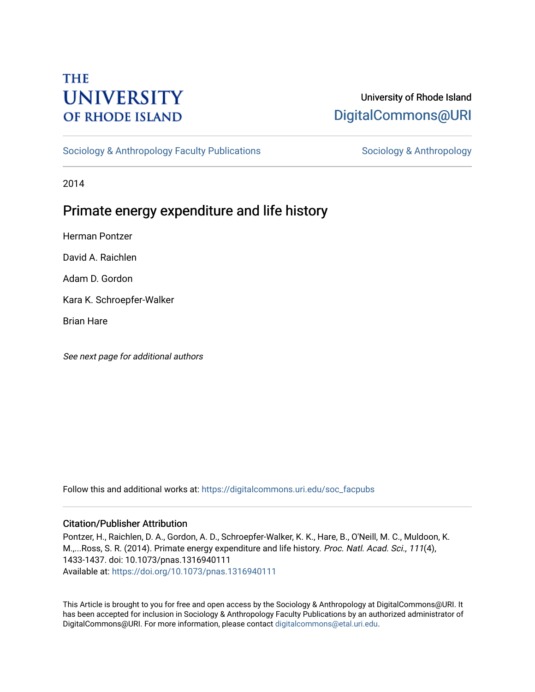# **THE UNIVERSITY OF RHODE ISLAND**

## University of Rhode Island [DigitalCommons@URI](https://digitalcommons.uri.edu/)

[Sociology & Anthropology Faculty Publications](https://digitalcommons.uri.edu/soc_facpubs) [Sociology & Anthropology](https://digitalcommons.uri.edu/soc) & Anthropology

2014

## Primate energy expenditure and life history

Herman Pontzer

David A. Raichlen

Adam D. Gordon

Kara K. Schroepfer-Walker

Brian Hare

See next page for additional authors

Follow this and additional works at: [https://digitalcommons.uri.edu/soc\\_facpubs](https://digitalcommons.uri.edu/soc_facpubs?utm_source=digitalcommons.uri.edu%2Fsoc_facpubs%2F24&utm_medium=PDF&utm_campaign=PDFCoverPages) 

### Citation/Publisher Attribution

Pontzer, H., Raichlen, D. A., Gordon, A. D., Schroepfer-Walker, K. K., Hare, B., O'Neill, M. C., Muldoon, K. M.,...Ross, S. R. (2014). Primate energy expenditure and life history. Proc. Natl. Acad. Sci., 111(4), 1433-1437. doi: 10.1073/pnas.1316940111 Available at:<https://doi.org/10.1073/pnas.1316940111>

This Article is brought to you for free and open access by the Sociology & Anthropology at DigitalCommons@URI. It has been accepted for inclusion in Sociology & Anthropology Faculty Publications by an authorized administrator of DigitalCommons@URI. For more information, please contact [digitalcommons@etal.uri.edu.](mailto:digitalcommons@etal.uri.edu)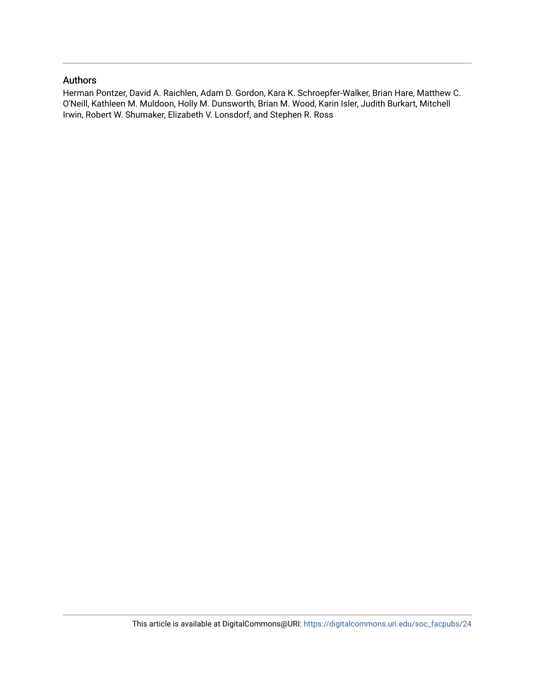## Authors

Herman Pontzer, David A. Raichlen, Adam D. Gordon, Kara K. Schroepfer-Walker, Brian Hare, Matthew C. O'Neill, Kathleen M. Muldoon, Holly M. Dunsworth, Brian M. Wood, Karin Isler, Judith Burkart, Mitchell Irwin, Robert W. Shumaker, Elizabeth V. Lonsdorf, and Stephen R. Ross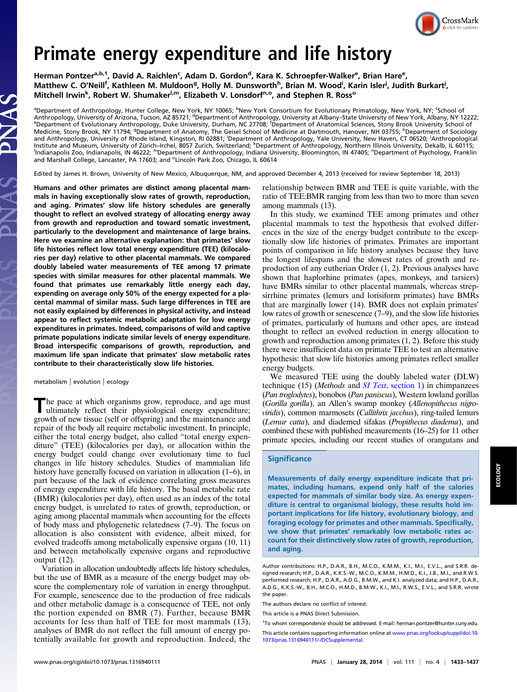

# Primate energy expenditure and life history

Herman Pontzer<sup>a,b,1</sup>, David A. Raichlen<sup>c</sup>, Adam D. Gordon<sup>d</sup>, Kara K. Schroepfer-Walker<sup>e</sup>, Brian Hare<sup>e</sup>, Matthew C. O'Neill<sup>f</sup>, Kathleen M. Muldoon<sup>g</sup>, Holly M. Dunsworth<sup>h</sup>, Brian M. Wood<sup>i</sup>, Karin Isler<sup>i</sup>, Judith Burkart<sup>i</sup>, Mitchell Irwin<sup>k</sup>, Robert W. Shumaker<sup>l,m</sup>, Elizabeth V. Lonsdorf<sup>n,o</sup>, and Stephen R. Ross<sup>o</sup>

<sup>a</sup>Department of Anthropology, Hunter College, New York, NY 10065; <sup>b</sup>New York Consortium for Evolutionary Primatology, New York, NY; <sup>c</sup>School of Anthropology, University of Arizona, Tucson, AZ 85721; <sup>d</sup>Department of Anthropology, University at Albany–State University of New York, Albany, NY 12222;<br>EDepartment of Evolutionary Anthropology, Duke University, Durbam, Department of Evolutionary Anthropology, Duke University, Durham, NC 27708; <sup>f</sup>Department of Anatomical Sciences, Stony Brook University School of Medicine, Stony Brook, NY 11794; <sup>g</sup>Department of Anatomy, The Geisel School of Medicine at Dartmouth, Hanover, NH 03755; <sup>h</sup>Department of Sociology and Anthropology, University of Rhode Island, Kingston, RI 02881; <sup>i</sup>Department of Anthropology, Yale University, New Haven, CT 06520; <sup>j</sup>Anthropological<br>Institute and Museum, University of Zürich–Irchel, 8057 Zurich, Swit Indianapolis Zoo, Indianapolis, IN 46222; <sup>m</sup>Department of Anthropology, Indiana University, Bloomington, IN 47405; <sup>n</sup>Department of Psychology, Franklin and Marshall College, Lancaster, PA 17603; and <sup>o</sup>Lincoln Park Zoo, Chicago, IL 60614

Edited by James H. Brown, University of New Mexico, Albuquerque, NM, and approved December 4, 2013 (received for review September 18, 2013)

Humans and other primates are distinct among placental mammals in having exceptionally slow rates of growth, reproduction, and aging. Primates' slow life history schedules are generally thought to reflect an evolved strategy of allocating energy away from growth and reproduction and toward somatic investment, particularly to the development and maintenance of large brains. Here we examine an alternative explanation: that primates' slow life histories reflect low total energy expenditure (TEE) (kilocalories per day) relative to other placental mammals. We compared doubly labeled water measurements of TEE among 17 primate species with similar measures for other placental mammals. We found that primates use remarkably little energy each day, expending on average only 50% of the energy expected for a placental mammal of similar mass. Such large differences in TEE are not easily explained by differences in physical activity, and instead appear to reflect systemic metabolic adaptation for low energy expenditures in primates. Indeed, comparisons of wild and captive primate populations indicate similar levels of energy expenditure. Broad interspecific comparisons of growth, reproduction, and maximum life span indicate that primates' slow metabolic rates contribute to their characteristically slow life histories.

metabolism | evolution | ecology

The pace at which organisms grow, reproduce, and age must ultimately reflect their physiological energy expenditure; growth of new tissue (self or offspring) and the maintenance and repair of the body all require metabolic investment. In principle, either the total energy budget, also called "total energy expenditure" (TEE) (kilocalories per day), or allocation within the energy budget could change over evolutionary time to fuel changes in life history schedules. Studies of mammalian life history have generally focused on variation in allocation  $(1-6)$ , in part because of the lack of evidence correlating gross measures of energy expenditure with life history. The basal metabolic rate (BMR) (kilocalories per day), often used as an index of the total energy budget, is unrelated to rates of growth, reproduction, or aging among placental mammals when accounting for the effects of body mass and phylogenetic relatedness (7–9). The focus on allocation is also consistent with evidence, albeit mixed, for evolved tradeoffs among metabolically expensive organs (10, 11) and between metabolically expensive organs and reproductive output (12).

Variation in allocation undoubtedly affects life history schedules, but the use of BMR as a measure of the energy budget may obscure the complementary role of variation in energy throughput. For example, senescence due to the production of free radicals and other metabolic damage is a consequence of TEE, not only the portion expended on BMR (7). Further, because BMR accounts for less than half of TEE for most mammals (13), analyses of BMR do not reflect the full amount of energy potentially available for growth and reproduction. Indeed, the relationship between BMR and TEE is quite variable, with the ratio of TEE:BMR ranging from less than two to more than seven among mammals (13).

In this study, we examined TEE among primates and other placental mammals to test the hypothesis that evolved differences in the size of the energy budget contribute to the exceptionally slow life histories of primates. Primates are important points of comparison in life history analyses because they have the longest lifespans and the slowest rates of growth and reproduction of any eutherian Order (1, 2). Previous analyses have shown that haplorhine primates (apes, monkeys, and tarsiers) have BMRs similar to other placental mammals, whereas strepsirrhine primates (lemurs and lorisiform primates) have BMRs that are marginally lower (14). BMR does not explain primates' low rates of growth or senescence (7–9), and the slow life histories of primates, particularly of humans and other apes, are instead thought to reflect an evolved reduction in energy allocation to growth and reproduction among primates (1, 2). Before this study there were insufficient data on primate TEE to test an alternative hypothesis: that slow life histories among primates reflect smaller energy budgets.

We measured TEE using the doubly labeled water (DLW) technique (15) (Methods and SI Text[, section 1\)](http://www.pnas.org/lookup/suppl/doi:10.1073/pnas.1316940111/-/DCSupplemental/pnas.201316940SI.pdf?targetid=nameddest=STXT) in chimpanzees (Pan troglodytes), bonobos (Pan paniscus), Western lowland gorillas (Gorilla gorilla), an Allen's swamp monkey (Allenopithecus nigroviridis), common marmosets (Callithrix jacchus), ring-tailed lemurs (Lemur catta), and diademed sifakas (Propithecus diadema), and combined these with published measurements (16–25) for 11 other primate species, including our recent studies of orangutans and

#### **Significance**

Measurements of daily energy expenditure indicate that primates, including humans, expend only half of the calories expected for mammals of similar body size. As energy expenditure is central to organismal biology, these results hold important implications for life history, evolutionary biology, and foraging ecology for primates and other mammals. Specifically, we show that primates' remarkably low metabolic rates account for their distinctively slow rates of growth, reproduction, and aging.

<sup>1</sup>To whom correspondence should be addressed. E-mail: herman.pontzer@hunter.cuny.edu.

Author contributions: H.P., D.A.R., B.H., M.C.O., K.M.M., K.I., M.I., E.V.L., and S.R.R. designed research; H.P., D.A.R., K.K.S.-W., M.C.O., K.M.M., H.M.D., K.I., J.B., M.I., and R.W.S. performed research; H.P., D.A.R., A.D.G., B.M.W., and K.I. analyzed data; and H.P., D.A.R., A.D.G., K.K.S.-W., B.H., M.C.O., H.M.D., B.M.W., K.I., M.I., R.W.S., E.V.L., and S.R.R. wrote the paper.

The authors declare no conflict of interest.

This article is a PNAS Direct Submission.

This article contains supporting information online at [www.pnas.org/lookup/suppl/doi:10.](http://www.pnas.org/lookup/suppl/doi:10.1073/pnas.1316940111/-/DCSupplemental) [1073/pnas.1316940111/-/DCSupplemental](http://www.pnas.org/lookup/suppl/doi:10.1073/pnas.1316940111/-/DCSupplemental).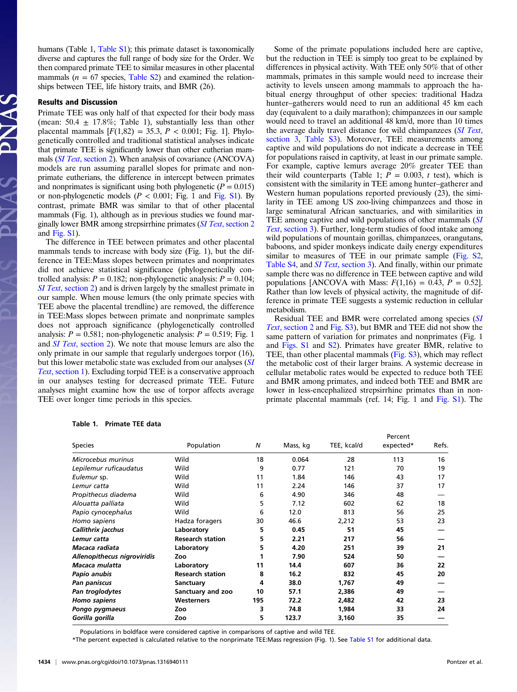humans (Table 1, [Table S1\)](http://www.pnas.org/lookup/suppl/doi:10.1073/pnas.1316940111/-/DCSupplemental/pnas.201316940SI.pdf?targetid=nameddest=ST1); this primate dataset is taxonomically diverse and captures the full range of body size for the Order. We then compared primate TEE to similar measures in other placental mammals ( $n = 67$  species, [Table S2](http://www.pnas.org/lookup/suppl/doi:10.1073/pnas.1316940111/-/DCSupplemental/pnas.201316940SI.pdf?targetid=nameddest=ST2)) and examined the relationships between TEE, life history traits, and BMR (26).

### Results and Discussion

Primate TEE was only half of that expected for their body mass (mean:  $50.4 \pm 17.8\%$ ; Table 1), substantially less than other placental mammals  $[F(1,82) = 35.3, P < 0.001;$  Fig. 1]. Phylogenetically controlled and traditional statistical analyses indicate that primate TEE is significantly lower than other eutherian mammals (SI Text[, section 2](http://www.pnas.org/lookup/suppl/doi:10.1073/pnas.1316940111/-/DCSupplemental/pnas.201316940SI.pdf?targetid=nameddest=STXT)). When analysis of covariance (ANCOVA) models are run assuming parallel slopes for primate and nonprimate eutherians, the difference in intercept between primates and nonprimates is significant using both phylogenetic  $(P = 0.015)$ or non-phylogenetic models ( $P < 0.001$ ; Fig. 1 and [Fig. S1\)](http://www.pnas.org/lookup/suppl/doi:10.1073/pnas.1316940111/-/DCSupplemental/pnas.201316940SI.pdf?targetid=nameddest=SF1). By contrast, primate BMR was similar to that of other placental mammals (Fig. 1), although as in previous studies we found marginally lower BMR among strepsirrhine primates (SI Text[, section 2](http://www.pnas.org/lookup/suppl/doi:10.1073/pnas.1316940111/-/DCSupplemental/pnas.201316940SI.pdf?targetid=nameddest=STXT) and  $Fig. S1$ .

The difference in TEE between primates and other placental mammals tends to increase with body size (Fig. 1), but the difference in TEE:Mass slopes between primates and nonprimates did not achieve statistical significance (phylogenetically controlled analysis:  $P = 0.182$ ; non-phylogenetic analysis:  $P = 0.104$ ; SI Text[, section 2\)](http://www.pnas.org/lookup/suppl/doi:10.1073/pnas.1316940111/-/DCSupplemental/pnas.201316940SI.pdf?targetid=nameddest=STXT) and is driven largely by the smallest primate in our sample. When mouse lemurs (the only primate species with TEE above the placental trendline) are removed, the difference in TEE:Mass slopes between primate and nonprimate samples does not approach significance (phylogenetically controlled analysis:  $P = 0.581$ ; non-phylogenetic analysis:  $P = 0.519$ ; Fig. 1 and *SI Text*[, section 2](http://www.pnas.org/lookup/suppl/doi:10.1073/pnas.1316940111/-/DCSupplemental/pnas.201316940SI.pdf?targetid=nameddest=STXT)). We note that mouse lemurs are also the only primate in our sample that regularly undergoes torpor (16), but this lower metabolic state was excluded from our analyses ([SI](http://www.pnas.org/lookup/suppl/doi:10.1073/pnas.1316940111/-/DCSupplemental/pnas.201316940SI.pdf?targetid=nameddest=STXT) Text[, section 1\)](http://www.pnas.org/lookup/suppl/doi:10.1073/pnas.1316940111/-/DCSupplemental/pnas.201316940SI.pdf?targetid=nameddest=STXT). Excluding torpid TEE is a conservative approach in our analyses testing for decreased primate TEE. Future analyses might examine how the use of torpor affects average TEE over longer time periods in this species.

Some of the primate populations included here are captive, but the reduction in TEE is simply too great to be explained by differences in physical activity. With TEE only 50% that of other mammals, primates in this sample would need to increase their activity to levels unseen among mammals to approach the habitual energy throughput of other species: traditional Hadza hunter–gatherers would need to run an additional 45 km each day (equivalent to a daily marathon); chimpanzees in our sample would need to travel an additional 48 km/d, more than 10 times the average daily travel distance for wild chimpanzees ([SI Text](http://www.pnas.org/lookup/suppl/doi:10.1073/pnas.1316940111/-/DCSupplemental/pnas.201316940SI.pdf?targetid=nameddest=STXT), [section 3,](http://www.pnas.org/lookup/suppl/doi:10.1073/pnas.1316940111/-/DCSupplemental/pnas.201316940SI.pdf?targetid=nameddest=STXT) [Table S3](http://www.pnas.org/lookup/suppl/doi:10.1073/pnas.1316940111/-/DCSupplemental/pnas.201316940SI.pdf?targetid=nameddest=ST3)). Moreover, TEE measurements among captive and wild populations do not indicate a decrease in TEE for populations raised in captivity, at least in our primate sample. For example, captive lemurs average 20% greater TEE than their wild counterparts (Table 1;  $P = 0.003$ , t test), which is consistent with the similarity in TEE among hunter–gatherer and Western human populations reported previously (23), the similarity in TEE among US zoo-living chimpanzees and those in large seminatural African sanctuaries, and with similarities in TEE among captive and wild populations of other mammals ([SI](http://www.pnas.org/lookup/suppl/doi:10.1073/pnas.1316940111/-/DCSupplemental/pnas.201316940SI.pdf?targetid=nameddest=STXT) Text[, section 3](http://www.pnas.org/lookup/suppl/doi:10.1073/pnas.1316940111/-/DCSupplemental/pnas.201316940SI.pdf?targetid=nameddest=STXT)). Further, long-term studies of food intake among wild populations of mountain gorillas, chimpanzees, orangutans, baboons, and spider monkeys indicate daily energy expenditures similar to measures of TEE in our primate sample ([Fig. S2](http://www.pnas.org/lookup/suppl/doi:10.1073/pnas.1316940111/-/DCSupplemental/pnas.201316940SI.pdf?targetid=nameddest=SF2), [Table S4,](http://www.pnas.org/lookup/suppl/doi:10.1073/pnas.1316940111/-/DCSupplemental/pnas.201316940SI.pdf?targetid=nameddest=ST4) and SI Text[, section 3](http://www.pnas.org/lookup/suppl/doi:10.1073/pnas.1316940111/-/DCSupplemental/pnas.201316940SI.pdf?targetid=nameddest=STXT)). And finally, within our primate sample there was no difference in TEE between captive and wild populations [ANCOVA with Mass:  $F(1,16) = 0.43$ ,  $P = 0.52$ ]. Rather than low levels of physical activity, the magnitude of difference in primate TEE suggests a systemic reduction in cellular metabolism.

Residual TEE and BMR were correlated among species ([SI](http://www.pnas.org/lookup/suppl/doi:10.1073/pnas.1316940111/-/DCSupplemental/pnas.201316940SI.pdf?targetid=nameddest=STXT) Text[, section 2](http://www.pnas.org/lookup/suppl/doi:10.1073/pnas.1316940111/-/DCSupplemental/pnas.201316940SI.pdf?targetid=nameddest=STXT) and [Fig. S3](http://www.pnas.org/lookup/suppl/doi:10.1073/pnas.1316940111/-/DCSupplemental/pnas.201316940SI.pdf?targetid=nameddest=SF3)), but BMR and TEE did not show the same pattern of variation for primates and nonprimates (Fig. 1 and [Figs. S1](http://www.pnas.org/lookup/suppl/doi:10.1073/pnas.1316940111/-/DCSupplemental/pnas.201316940SI.pdf?targetid=nameddest=SF1) and [S2\)](http://www.pnas.org/lookup/suppl/doi:10.1073/pnas.1316940111/-/DCSupplemental/pnas.201316940SI.pdf?targetid=nameddest=SF2). Primates have greater BMR, relative to TEE, than other placental mammals [\(Fig. S3\)](http://www.pnas.org/lookup/suppl/doi:10.1073/pnas.1316940111/-/DCSupplemental/pnas.201316940SI.pdf?targetid=nameddest=SF3), which may reflect the metabolic cost of their larger brains. A systemic decrease in cellular metabolic rates would be expected to reduce both TEE and BMR among primates, and indeed both TEE and BMR are lower in less-encephalized strepsirrhine primates than in nonprimate placental mammals (ref. 14; Fig. 1 and [Fig. S1\)](http://www.pnas.org/lookup/suppl/doi:10.1073/pnas.1316940111/-/DCSupplemental/pnas.201316940SI.pdf?targetid=nameddest=SF1). The

Percent

| <b>Species</b>              | Population              | N   | Mass, kg | TEE, kcal/d | expected* | Refs. |
|-----------------------------|-------------------------|-----|----------|-------------|-----------|-------|
| Microcebus murinus          | Wild                    | 18  | 0.064    | 28          | 113       | 16    |
| Lepilemur ruficaudatus      | Wild                    | 9   | 0.77     | 121         | 70        | 19    |
| Eulemur sp.                 | Wild                    | 11  | 1.84     | 146         | 43        | 17    |
| Lemur catta                 | Wild                    | 11  | 2.24     | 146         | 37        | 17    |
| Propithecus diadema         | Wild                    | 6   | 4.90     | 346         | 48        |       |
| Alouatta palliata           | Wild                    | 5   | 7.12     | 602         | 62        | 18    |
| Papio cynocephalus          | Wild                    | 6   | 12.0     | 813         | 56        | 25    |
| Homo sapiens                | Hadza foragers          | 30  | 46.6     | 2,212       | 53        | 23    |
| Callithrix jacchus          | Laboratory              | 5   | 0.45     | 51          | 45        |       |
| Lemur catta                 | <b>Research station</b> | 5   | 2.21     | 217         | 56        |       |
| Macaca radiata              | Laboratory              | 5   | 4.20     | 251         | 39        | 21    |
| Allenopithecus nigroviridis | Zoo                     |     | 7.90     | 524         | 50        |       |
| Macaca mulatta              | Laboratory              | 11  | 14.4     | 607         | 36        | 22    |
| Papio anubis                | <b>Research station</b> | 8   | 16.2     | 832         | 45        | 20    |
| Pan paniscus                | Sanctuary               | 4   | 38.0     | 1,767       | 49        |       |
| Pan troglodytes             | Sanctuary and zoo       | 10  | 57.1     | 2,386       | 49        |       |
| Homo sapiens                | Westerners              | 195 | 72.2     | 2,482       | 42        | 23    |
| Pongo pygmaeus              | Zoo                     | 3   | 74.8     | 1,984       | 33        | 24    |
| Gorilla gorilla             | Zoo                     | 5   | 123.7    | 3,160       | 35        |       |

### Table 1. Primate TEE data

Populations in boldface were considered captive in comparisons of captive and wild TEE.

\*The percent expected is calculated relative to the nonprimate TEE:Mass regression (Fig. 1). See [Table S1](http://www.pnas.org/lookup/suppl/doi:10.1073/pnas.1316940111/-/DCSupplemental/pnas.201316940SI.pdf?targetid=nameddest=ST1) for additional data.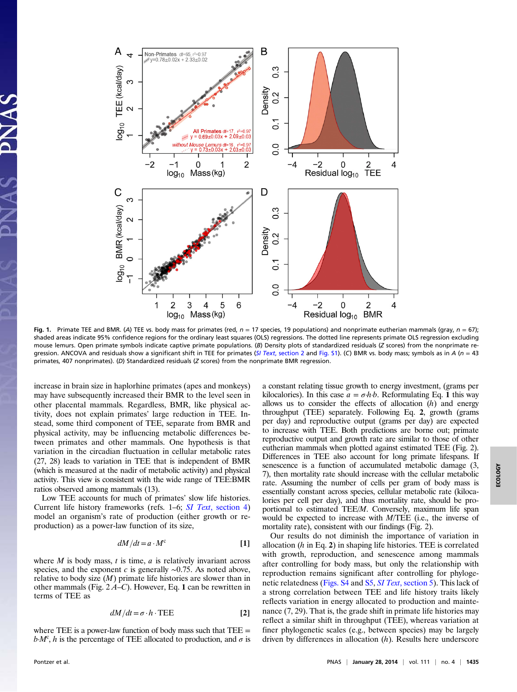

Fig. 1. Primate TEE and BMR. (A) TEE vs. body mass for primates (red,  $n = 17$  species, 19 populations) and nonprimate eutherian mammals (gray,  $n = 67$ ); shaded areas indicate 95% confidence regions for the ordinary least squares (OLS) regressions. The dotted line represents primate OLS regression excluding mouse lemurs. Open primate symbols indicate captive primate populations. (B) Density plots of standardized residuals (Z scores) from the nonprimate re-gression. ANCOVA and residuals show a significant shift in TEE for primates (SI Text[, section 2](http://www.pnas.org/lookup/suppl/doi:10.1073/pnas.1316940111/-/DCSupplemental/pnas.201316940SI.pdf?targetid=nameddest=STXT) and [Fig. S1](http://www.pnas.org/lookup/suppl/doi:10.1073/pnas.1316940111/-/DCSupplemental/pnas.201316940SI.pdf?targetid=nameddest=SF1)). (C) BMR vs. body mass; symbols as in A ( $n = 43$ primates, 407 nonprimates). (D) Standardized residuals (Z scores) from the nonprimate BMR regression.

increase in brain size in haplorhine primates (apes and monkeys) may have subsequently increased their BMR to the level seen in other placental mammals. Regardless, BMR, like physical activity, does not explain primates' large reduction in TEE. Instead, some third component of TEE, separate from BMR and physical activity, may be influencing metabolic differences between primates and other mammals. One hypothesis is that variation in the circadian fluctuation in cellular metabolic rates (27, 28) leads to variation in TEE that is independent of BMR (which is measured at the nadir of metabolic activity) and physical activity. This view is consistent with the wide range of TEE:BMR ratios observed among mammals (13).

Low TEE accounts for much of primates' slow life histories. Current life history frameworks (refs. 1–6; SI Text[, section 4](http://www.pnas.org/lookup/suppl/doi:10.1073/pnas.1316940111/-/DCSupplemental/pnas.201316940SI.pdf?targetid=nameddest=STXT)) model an organism's rate of production (either growth or reproduction) as a power-law function of its size,

$$
dM/dt = a \cdot M^c \tag{1}
$$

where  $M$  is body mass,  $t$  is time,  $a$  is relatively invariant across species, and the exponent c is generally  $\sim$ 0.75. As noted above, relative to body size  $(M)$  primate life histories are slower than in other mammals (Fig.  $2A-C$ ). However, Eq. 1 can be rewritten in terms of TEE as

$$
dM/dt = \sigma \cdot h \cdot \text{TEE}
$$
 [2]

where TEE is a power-law function of body mass such that  $TEE =$  $b M<sup>c</sup>$ , h is the percentage of TEE allocated to production, and  $\sigma$  is

a constant relating tissue growth to energy investment, (grams per kilocalories). In this case  $a = \sigma h b$ . Reformulating Eq. 1 this way allows us to consider the effects of allocation  $(h)$  and energy throughput (TEE) separately. Following Eq. 2, growth (grams per day) and reproductive output (grams per day) are expected to increase with TEE. Both predictions are borne out; primate reproductive output and growth rate are similar to those of other eutherian mammals when plotted against estimated TEE (Fig. 2). Differences in TEE also account for long primate lifespans. If senescence is a function of accumulated metabolic damage (3, 7), then mortality rate should increase with the cellular metabolic rate. Assuming the number of cells per gram of body mass is essentially constant across species, cellular metabolic rate (kilocalories per cell per day), and thus mortality rate, should be proportional to estimated TEE/M. Conversely, maximum life span would be expected to increase with M/TEE (i.e., the inverse of mortality rate), consistent with our findings (Fig. 2).

Our results do not diminish the importance of variation in allocation  $(h \text{ in Eq. 2})$  in shaping life histories. TEE is correlated with growth, reproduction, and senescence among mammals after controlling for body mass, but only the relationship with reproduction remains significant after controlling for phyloge-netic relatedness ([Figs. S4](http://www.pnas.org/lookup/suppl/doi:10.1073/pnas.1316940111/-/DCSupplemental/pnas.201316940SI.pdf?targetid=nameddest=SF4) and [S5,](http://www.pnas.org/lookup/suppl/doi:10.1073/pnas.1316940111/-/DCSupplemental/pnas.201316940SI.pdf?targetid=nameddest=SF5) SI Text[, section 5](http://www.pnas.org/lookup/suppl/doi:10.1073/pnas.1316940111/-/DCSupplemental/pnas.201316940SI.pdf?targetid=nameddest=STXT)). This lack of a strong correlation between TEE and life history traits likely reflects variation in energy allocated to production and maintenance (7, 29). That is, the grade shift in primate life histories may reflect a similar shift in throughput (TEE), whereas variation at finer phylogenetic scales (e.g., between species) may be largely driven by differences in allocation (h). Results here underscore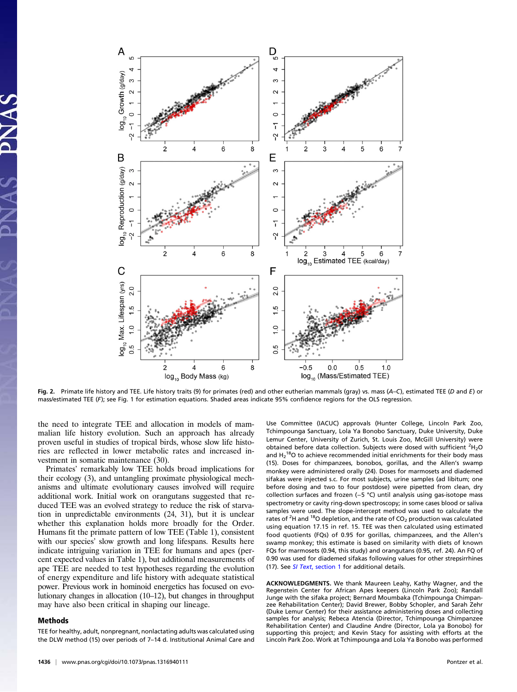

Fig. 2. Primate life history and TEE. Life history traits (9) for primates (red) and other eutherian mammals (gray) vs. mass (A–C), estimated TEE (D and E) or mass/estimated TEE (F); see Fig. 1 for estimation equations. Shaded areas indicate 95% confidence regions for the OLS regression.

the need to integrate TEE and allocation in models of mammalian life history evolution. Such an approach has already proven useful in studies of tropical birds, whose slow life histories are reflected in lower metabolic rates and increased investment in somatic maintenance (30).

Primates' remarkably low TEE holds broad implications for their ecology (3), and untangling proximate physiological mechanisms and ultimate evolutionary causes involved will require additional work. Initial work on orangutans suggested that reduced TEE was an evolved strategy to reduce the risk of starvation in unpredictable environments (24, 31), but it is unclear whether this explanation holds more broadly for the Order. Humans fit the primate pattern of low TEE (Table 1), consistent with our species' slow growth and long lifespans. Results here indicate intriguing variation in TEE for humans and apes (percent expected values in Table 1), but additional measurements of ape TEE are needed to test hypotheses regarding the evolution of energy expenditure and life history with adequate statistical power. Previous work in hominoid energetics has focused on evolutionary changes in allocation (10–12), but changes in throughput may have also been critical in shaping our lineage.

### Methods

TEE for healthy, adult, nonpregnant, nonlactating adults was calculated using the DLW method (15) over periods of 7–14 d. Institutional Animal Care and Use Committee (IACUC) approvals (Hunter College, Lincoln Park Zoo, Tchimpounga Sanctuary, Lola Ya Bonobo Sanctuary, Duke University, Duke Lemur Center, University of Zurich, St. Louis Zoo, McGill University) were obtained before data collection. Subjects were dosed with sufficient  ${}^{2}H_{2}O$ and  $H_2$ <sup>18</sup>O to achieve recommended initial enrichments for their body mass (15). Doses for chimpanzees, bonobos, gorillas, and the Allen's swamp monkey were administered orally (24). Doses for marmosets and diademed sifakas were injected s.c. For most subjects, urine samples (ad libitum; one before dosing and two to four postdose) were pipetted from clean, dry collection surfaces and frozen (−5 °C) until analysis using gas-isotope mass spectrometry or cavity ring-down spectroscopy; in some cases blood or saliva samples were used. The slope-intercept method was used to calculate the rates of <sup>2</sup>H and <sup>18</sup>O depletion, and the rate of CO<sub>2</sub> production was calculated using equation 17.15 in ref. 15. TEE was then calculated using estimated food quotients (FQs) of 0.95 for gorillas, chimpanzees, and the Allen's swamp monkey; this estimate is based on similarity with diets of known FQs for marmosets (0.94, this study) and orangutans (0.95, ref. 24). An FQ of 0.90 was used for diademed sifakas following values for other strepsirrhines (17). See SI Text[, section 1](http://www.pnas.org/lookup/suppl/doi:10.1073/pnas.1316940111/-/DCSupplemental/pnas.201316940SI.pdf?targetid=nameddest=STXT) for additional details.

ACKNOWLEDGMENTS. We thank Maureen Leahy, Kathy Wagner, and the Regenstein Center for African Apes keepers (Lincoln Park Zoo); Randall Junge with the sifaka project; Bernard Moumbaka (Tchimpounga Chimpanzee Rehabilitation Center); David Brewer, Bobby Schopler, and Sarah Zehr (Duke Lemur Center) for their assistance administering doses and collecting samples for analysis; Rebeca Atencia (Director, Tchimpounga Chimpanzee Rehabilitation Center) and Claudine Andre (Director, Lola ya Bonobo) for supporting this project; and Kevin Stacy for assisting with efforts at the Lincoln Park Zoo. Work at Tchimpounga and Lola Ya Bonobo was performed